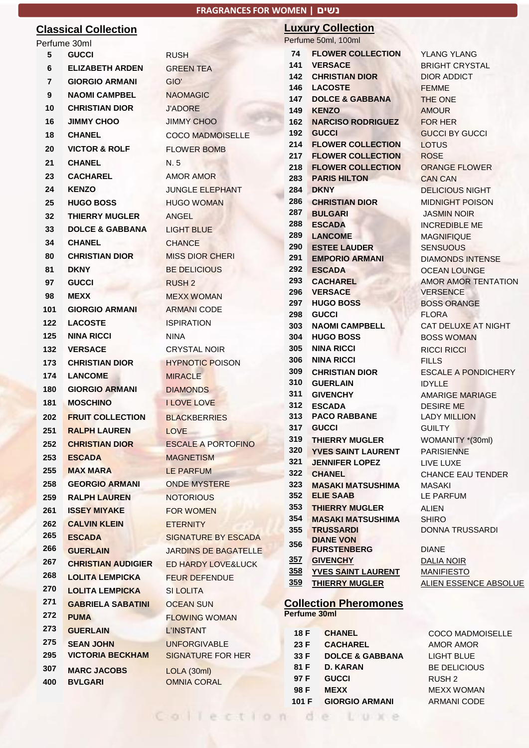|     |                             | <b>FRAGRANCES FOR WOMEN   נשים</b> |            |                                               |
|-----|-----------------------------|------------------------------------|------------|-----------------------------------------------|
|     | <b>Classical Collection</b> |                                    |            | <b>Luxury Collection</b>                      |
|     | Perfume 30ml                |                                    |            | Perfume 50ml, 100ml                           |
| 5   | <b>GUCCI</b>                | <b>RUSH</b>                        | 74         | <b>FLOWER COLLE</b>                           |
| 6   | <b>ELIZABETH ARDEN</b>      | <b>GREEN TEA</b>                   | 141        | <b>VERSACE</b>                                |
| 7   | <b>GIORGIO ARMANI</b>       | GIO'                               | 142        | <b>CHRISTIAN DIOR</b>                         |
| 9   | <b>NAOMI CAMPBEL</b>        | <b>NAOMAGIC</b>                    | 146        | <b>LACOSTE</b>                                |
| 10  | <b>CHRISTIAN DIOR</b>       | <b>J'ADORE</b>                     | 147<br>149 | <b>DOLCE &amp; GABB</b><br><b>KENZO</b>       |
| 16  | <b>JIMMY CHOO</b>           | <b>JIMMY CHOO</b>                  | 162        | <b>NARCISO RODR</b>                           |
| 18  | <b>CHANEL</b>               | <b>COCO MADMOISELLE</b>            | 192        | <b>GUCCI</b>                                  |
| 20  | <b>VICTOR &amp; ROLF</b>    | <b>FLOWER BOMB</b>                 | 214        | <b>FLOWER COLLE</b>                           |
|     |                             |                                    | 217        | <b>FLOWER COLLE</b>                           |
| 21  | <b>CHANEL</b>               | N. 5                               | 218        | <b>FLOWER COLLE</b>                           |
| 23  | <b>CACHAREL</b>             | AMOR AMOR                          | 283        | <b>PARIS HILTON</b>                           |
| 24  | <b>KENZO</b>                | <b>JUNGLE ELEPHANT</b>             | 284        | <b>DKNY</b>                                   |
| 25  | <b>HUGO BOSS</b>            | <b>HUGO WOMAN</b>                  | 286        | <b>CHRISTIAN DIOR</b>                         |
| 32  | <b>THIERRY MUGLER</b>       | ANGEL                              | 287<br>288 | <b>BULGARI</b>                                |
| 33  | <b>DOLCE &amp; GABBANA</b>  | <b>LIGHT BLUE</b>                  | 289        | <b>ESCADA</b><br><b>LANCOME</b>               |
| 34  | <b>CHANEL</b>               | <b>CHANCE</b>                      | 290        | <b>ESTEE LAUDER</b>                           |
| 80  | <b>CHRISTIAN DIOR</b>       | <b>MISS DIOR CHERI</b>             | 291        | <b>EMPORIO ARMA</b>                           |
| 81  | <b>DKNY</b>                 | <b>BE DELICIOUS</b>                | 292        | <b>ESCADA</b>                                 |
| 97  | <b>GUCCI</b>                | <b>RUSH 2</b>                      | 293        | <b>CACHAREL</b>                               |
| 98  | <b>MEXX</b>                 | <b>MEXX WOMAN</b>                  | 296        | <b>VERSACE</b>                                |
| 101 | <b>GIORGIO ARMANI</b>       | <b>ARMANI CODE</b>                 | 297        | <b>HUGO BOSS</b>                              |
| 122 | <b>LACOSTE</b>              | <b>ISPIRATION</b>                  | 298        | <b>GUCCI</b>                                  |
| 125 | <b>NINA RICCI</b>           | <b>NINA</b>                        | 303<br>304 | <b>NAOMI CAMPBE</b><br><b>HUGO BOSS</b>       |
| 132 | <b>VERSACE</b>              | <b>CRYSTAL NOIR</b>                | 305        | <b>NINA RICCI</b>                             |
| 173 | <b>CHRISTIAN DIOR</b>       | <b>HYPNOTIC POISON</b>             | 306        | <b>NINA RICCI</b>                             |
|     |                             |                                    | 309        | <b>CHRISTIAN DIOR</b>                         |
| 174 | <b>LANCOME</b>              | <b>MIRACLE</b>                     | 310        | <b>GUERLAIN</b>                               |
| 180 | <b>GIORGIO ARMANI</b>       | <b>DIAMONDS</b>                    | 311        | <b>GIVENCHY</b>                               |
| 181 | <b>MOSCHINO</b>             | <b>I LOVE LOVE</b>                 | 312        | <b>ESCADA</b>                                 |
| 202 | <b>FRUIT COLLECTION</b>     | <b>BLACKBERRIES</b>                | 313        | <b>PACO RABBANE</b>                           |
| 251 | <b>RALPH LAUREN</b>         | <b>LOVE</b>                        | 317        | <b>GUCCI</b>                                  |
| 252 | <b>CHRISTIAN DIOR</b>       | <b>ESCALE A PORTOFINO</b>          | 319        | <b>THIERRY MUGLI</b>                          |
| 253 | <b>ESCADA</b>               | <b>MAGNETISM</b>                   | 320<br>321 | <b>YVES SAINT LAI</b><br><b>JENNIFER LOPE</b> |
| 255 | <b>MAX MARA</b>             | LE PARFUM                          | 322        | <b>CHANEL</b>                                 |
| 258 | <b>GEORGIO ARMANI</b>       | <b>ONDE MYSTERE</b>                | 323        | <b>MASAKI MATSU</b>                           |
| 259 | <b>RALPH LAUREN</b>         | <b>NOTORIOUS</b>                   | 352        | <b>ELIE SAAB</b>                              |
| 261 | ISSEY MIYAKE                | <b>EOR WOMEN</b>                   | 353        | <b>THIERRY MUGLI</b>                          |

*FR COLLECTION* YLANG YLANG **1401 BRIGHT CRYSTAL 1422 TIAN DIOR DIOR ADDICT 1466 <b>1466 EXAMPLE STE 147 DOLCE & GABBANA** THE ONE **149 149 AMOUR 162 NARCISO RODRIGUEZ** FOR HER **192 GUCCI** GUCCI BY GUCCI **ZER COLLECTION LOTUS ZER COLLECTION ROSE 218 FLOWER COLLECTION** ORANGE FLOWER **283 <b>PHILTON** CAN CAN **DELICIOUS NIGHT 28 YOUR MIDNIGHT POISON 287 ISLAMIN NOIR 288 INCREDIBLE ME 289 MAGNIFIQUE 29 E LAUDER** SENSUOUS **2012 <b>BIO ARMANI** DIAMONDS INTENSE **292 DA** OCEAN LOUNGE **293 AMOR AMOR TENTATION** ACE VERSENCE **2978 BOSS BOSS ORANGE 2988 CLORA 303 NAOMI CAMPBELL** CAT DELUXE AT NIGHT **BOSS** BOSS WOMAN **305 NINA RICCI** RICCI RICCI **306 NINA RICCI** FILLS **STIAN DIOR ESCALE A PONDICHERY IDYLLE 311 GIVENCHY** AMARIGE MARIAGE **DA DESIRE ME RABBANE** LADY MILLION **31 GUILTY RY MUGLER** WOMANITY \*(30ml) **SAINT LAURENT PARISIENNE 321 IFER LOPEZ** LIVE LUXE **322 CHANCE EAU TENDER 323 MASAKI MATSUSHIMA** MASAKI **3AAB** LE PARFUM **353 THIERRY MUGLER** ALIEN

**252 CHRISTIAN DIOR** 253 **ESCADA** 255 **MAX MARA 258 GEORGIO ARMANI 259 RALPH LAUREN 261 ISSEY MIYAKE** FOR WOMEN **CALVIN KLEIN** ETERNITY **ESCADA** SIGNATURE BY ESCADA **GUERLAIN** JARDINS DE BAGATELLE **CHRISTIAN AUDIGIER** ED HARDY LOVE&LUCK **LOLITA LEMPICKA** FEUR DEFENDUE **LOLITA LEMPICKA** SI LOLITA **GABRIELA SABATINI** OCEAN SUN **272 PUMA** FLOWING WOMAN **GUERLAIN** L'INSTANT **SEAN JOHN** UNFORGIVABLE **VICTORIA BECKHAM** SIGNATURE FOR HER **MARC JACOBS** LOLA (30ml)

**400 BVLGARI** OMNIA CORAL

**Collection Pheromones Perfume 30ml**

**<sup>356</sup> DIANE VON** 

| 18 F  | <b>CHANEL</b>              |
|-------|----------------------------|
| 23 F  | <b>CACHAREL</b>            |
| 33 F  | <b>DOLCE &amp; GABBANA</b> |
| 81 F  | D. KARAN                   |
| 97 F  | <b>GUCCI</b>               |
| 98 F  | <b>MEXX</b>                |
| 101 F | <b>GIORGIO ARMANI</b>      |

**354 MASAKI MATSUSHIMA** SHIRO

**FURSTENBERG** DIANE **357 GIVENCHY** DALIA NOIR **358 YVES SAINT LAURENT** MANIFIESTO

**355 TRUSSARDI DONNA TRUSSARDI** 

**359 THIERRY MUGLER** ALIEN ESSENCE ABSOLUE

**COCO MADMOISELLE AMOR AMOR LIGHT BLUE BE DELICIOUS 97 F GUCCI** RUSH 2 **98 F MEXX** MEXX WOMAN **101 F GIORGIO ARMANI** ARMANI CODE

Collection L'UNe

四 (6)